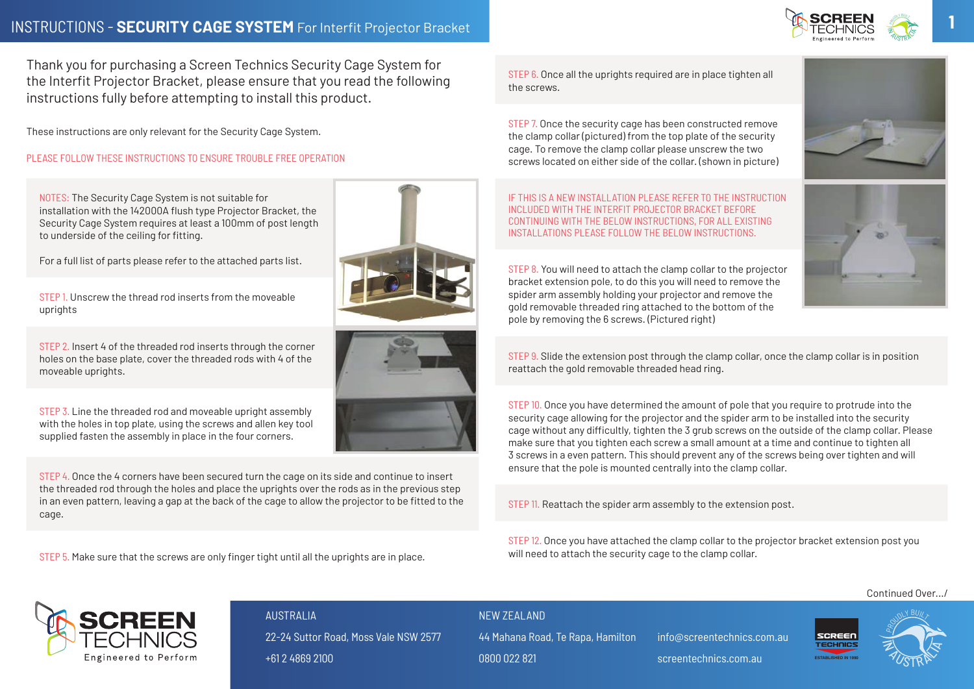fitted to the cage.

Thank you for purchasing a Screen Technics Security Cage System for **Thank you for purchasing a Screen Technics Security**  the Interfit Projector Bracket, please ensure that you read the following<br>The screws the screws.<br>instructions fully before attempting to install this product. **ensure that you read the following instructions fully** 

These instructions are only relevant for the Security Cage System. **before attempting to install this product.** 

PLEASE FOLLOW THESE INSTRUCTIONS TO ENSURE TROUBLE FREE OPERATION

NOTES: The Security Cage System is not suitable for in the other worker worker worker worker worker worker worker worker worker worker worker worker worker worker<br>INCLUDED WITH THE INTERFIT PROJECTOR BRACKET BEFORE Security Cage System requires at least a 100mm of post length **Cage System for the Interfit Projector Bracket, please Please follow these instructions to ensure trouble free operation e** to underside of the ceiling for fitting. The Security Canadian Cage System is not suitable for installation with the 14200 August 14200 August 14200 August 14200 August 14200 August 14200 August 14200 August 14200 August 142000 August 142000 August 142000 August

For a full list of parts please refer to the attached parts list. The state of the state of the state of the attached parts list.

STEP 1. Unscrew the thread rod inserts from the moveable uprights **PLEASE FOLLOW THE CHARGE FOR HISSITS TROUBLE FREE OPERATIONS TRANSPORTER TRANSPORTER FREE OPERATIONS TRANSPORTER** STEP I. UNSCrew ti<br>Suprights

STEP 2. Insert 4 of the threaded rod inserts through the corner **the central for fitting**  $\sim$ oner 2. msert 4 or the threaded rod inserts through the corner<br>holes on the base plate, cover the threaded rods with 4 of the moveable uprights. the moveab

 $\overline{\text{STEP 3}}$ . Line the threaded rod and moveable upright assembly with the holes in top plate, using the screws and allen key tool supplied fasten the assembly in place in the four corners.

> Once you have determined the amount of pole that you require to protrude into the security cage allowing for the projector and the spider arm to be installed into the

 $STEP$  4. Once the 4 corners have been secured turn the cage on its side and continue to insert the threaded rod through the holes and place the uprights over the rods as in the previous step In an even pattern, leaving a gap at the back of the cage to allow the projector to be fitted to the cage. STEP 4. Once the 4 corners have been secured turn the cage on its side and contin **Cade.** Cade all the upper are in place tights required are in place tights required are in place tighten all the screws.  $a$  sure that the screws are only finded until all the uprights are in place.

STEP 5. Make sure that the screws are only finger tight until all the uprights are in place.  $\overline{\text{O}}$  cr  $\overline{\text{o}}$  rake sure that the screws are only imperitignt until

STEP 6. Once all the uprights required are in place tighten all the screws.

STEP 7. Once the security cage has been constructed remove<br>He share as been constructed remove the security cage has been constructed remove the clamp collar (pictured) from the top plate of the security Slide the extension post through the clamp collar, once the clamp collar is in position reattach the cage. To remove the clamp collar please unscrew the two cages in the security cage. To remove the clamp collar please unscrew the two cage. NS TU ENSURE TRUUBLE FREE UPERATIUN **the two screws located on either side of the collar. (shown in picture**) threaded ring attached to the bottom of the pole by removing the 6 screws. (Pictured right)

IF THIS IS A NEW INSTALLATION PLEASE REFER TO THE INSTRUCTION PRODUCTION PRODUCTION PRODUCTION PLEASE REFER TO THE INSTRUCTION INCLUDED WITH THE INTERFIT PROJECTOR BRACKET BEFORE THE INTENTTY NOOLD ON DIACKET BETONE THE INTENTTY NOOLD ON DIACKET BETONE<br>Set least a 100mm of post length the strew screws on the security continuing with the BELOW INSTRUCTIONS, FOR ALL EXISTING Fitting. The collars of the collar please make sure that in the sure that you tighten each sure that you tight in the sure that you tight in the sure that you tight in the sure that you tight in the sure that you tight in sem is not suitable for the projector and the projector and the projector and the projector arm to be installed into the projector and the projector arm to be installed in the spider arm to be installed in the spider of th

STEP 8. You will need to attach the clamp collar to the projector abracket extension pole, to do this you will need to remove the spider are spider and remove the gold remove the gold removable spider and removable removable removable removable removable removable removable. threaded ring attached to the bottom of the bottom of the bottom of the pole by removing the pole by removing the pole by removing the pole by removing the pole by removing the pole by removing the  $\sim$  spider arm assembly gold removable threaded ring attached to the bottom of the pole by removing the 6 screws. (Pictured right) shows that the clamp collar, once the clamp collar is in position reattach the clamp collar is in position reattach the clamp collar is in position reattach the clamp collar

STEP 9. Slide the extension post through the clamp collar, once the clamp collar is in position reattach the gold removable threaded head ring.<br>
The concernsity of the gold removable threaded head ring.

end move able unright assembly and the security of the security of the 3 step 10. Once you have determined the amount of pole that you require to protrude into the and moveable upright assembly<br>on the screws and allen key tool and the security cage allowing for the projector and the spider arm to be installed into the security cage without any difficultly, tighten the 3 grub screws on the outside of the clamp collar. Please make sure that you tighten each screws on the outside of the clamp collar. Plus and continue to tighten all 3 screws in the four corners.<br>This showld prevent all 3 screws in a even pattern all 3 screws in a time and contin 3 screws in a even pattern. This should prevent any of the screws being over tighten and will and will be more that the pole is more that the pole is more that the pole is more that the pole is mounted central will be more ensure that the pole is mounted centrally into the clamp collar.

STEP 11. Reattach the spider arm assembly to the extension post.

STEP 12. Once you have attached the clamp collar to the projector bracket extension post you will need to attach the security cage to the clamp collar.

 $\sum_{i=1}^n a_i$  at the collar to the projector bracket extension pole, to do the projector pole, to do the projector  $\sum_{i=1}^n a_i$ **If SCREEN ASSEMBLY PROJECTOR REMOVABLE REMOVABLE REMOVABLE REMOVABLE REMOVABLE REMOVABLE REMOVABLE PROJECT** TECHNICS 22-24 Suttor Road, Moss Vale NSW 2577  $\mathcal{S}$  the extension position position  $\mathcal{S}$ AUSTRALIA +61 2 4869 2100

NEW **7FAI AND** 

44 Mahana Road, Te Rapa, Hamilton 0800 022 821

info@screentechnics.com.au

screentechnics.com.au









**1**



Once the 4 corners have been secured turn the cage on its side and continue to insert

If this is a new installation please refer to the instruction included with the Interfit Projector Bracket





You will need to attach the clamp collar to the projector bracket extension pole, to do this you will



**ESTABLISHED IN 1990**